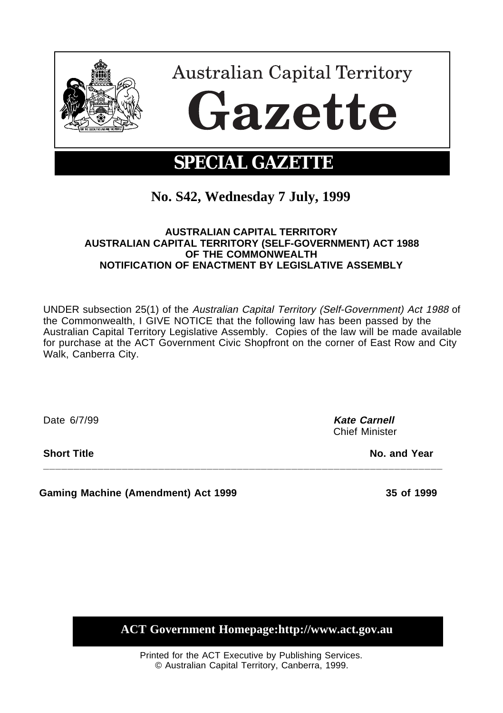

## **No. S42, Wednesday 7 July, 1999**

## **AUSTRALIAN CAPITAL TERRITORY AUSTRALIAN CAPITAL TERRITORY (SELF-GOVERNMENT) ACT 1988 OF THE COMMONWEALTH NOTIFICATION OF ENACTMENT BY LEGISLATIVE ASSEMBLY**

UNDER subsection 25(1) of the Australian Capital Territory (Self-Government) Act 1988 of the Commonwealth, I GIVE NOTICE that the following law has been passed by the Australian Capital Territory Legislative Assembly. Copies of the law will be made available for purchase at the ACT Government Civic Shopfront on the corner of East Row and City Walk, Canberra City.

**\_\_\_\_\_\_\_\_\_\_\_\_\_\_\_\_\_\_\_\_\_\_\_\_\_\_\_\_\_\_\_\_\_\_\_\_\_\_\_\_\_\_\_\_\_\_\_\_\_\_\_\_\_\_\_\_\_\_\_\_\_\_\_\_\_\_**

Date 6/7/99 **Kate Carnell**

Chief Minister

**Short Title No. and Year** 

**Gaming Machine (Amendment) Act 1999 35 of 1999**

**ACT Government Homepage:http://www.act.gov.au**

Printed for the ACT Executive by Publishing Services. © Australian Capital Territory, Canberra, 1999.